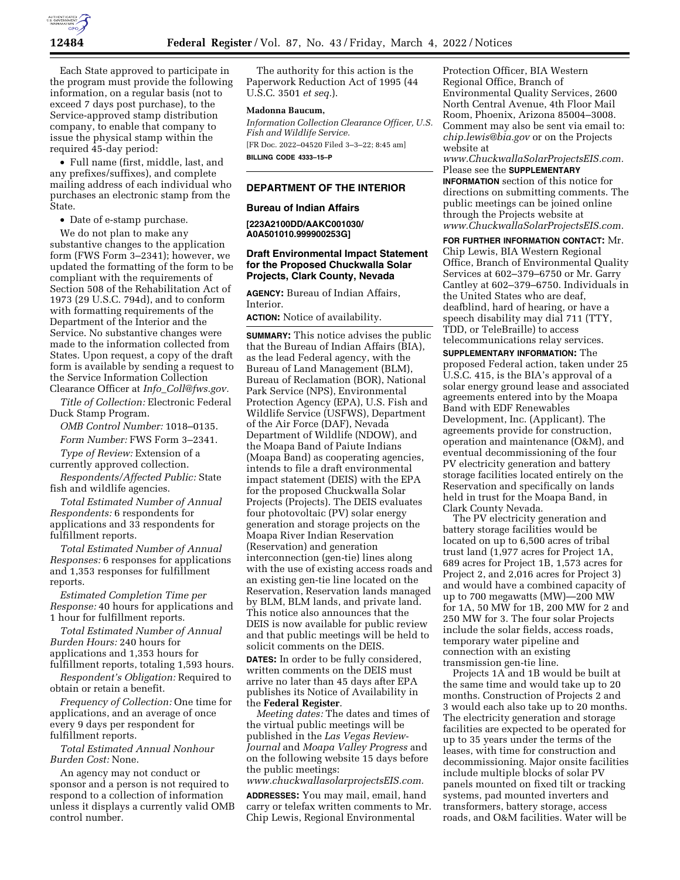

Each State approved to participate in the program must provide the following information, on a regular basis (not to exceed 7 days post purchase), to the Service-approved stamp distribution company, to enable that company to issue the physical stamp within the required 45-day period:

• Full name (first, middle, last, and any prefixes/suffixes), and complete mailing address of each individual who purchases an electronic stamp from the State.

• Date of e-stamp purchase.

We do not plan to make any substantive changes to the application form (FWS Form 3–2341); however, we updated the formatting of the form to be compliant with the requirements of Section 508 of the Rehabilitation Act of 1973 (29 U.S.C. 794d), and to conform with formatting requirements of the Department of the Interior and the Service. No substantive changes were made to the information collected from States. Upon request, a copy of the draft form is available by sending a request to the Service Information Collection Clearance Officer at *Info*\_*[Coll@fws.gov.](mailto:Info_Coll@fws.gov)* 

*Title of Collection:* Electronic Federal Duck Stamp Program.

*OMB Control Number:* 1018–0135.

*Form Number:* FWS Form 3–2341.

*Type of Review:* Extension of a currently approved collection.

*Respondents/Affected Public:* State fish and wildlife agencies.

*Total Estimated Number of Annual Respondents:* 6 respondents for applications and 33 respondents for fulfillment reports.

*Total Estimated Number of Annual Responses:* 6 responses for applications and 1,353 responses for fulfillment reports.

*Estimated Completion Time per Response:* 40 hours for applications and 1 hour for fulfillment reports.

*Total Estimated Number of Annual Burden Hours:* 240 hours for applications and 1,353 hours for fulfillment reports, totaling 1,593 hours.

*Respondent's Obligation:* Required to obtain or retain a benefit.

*Frequency of Collection:* One time for applications, and an average of once every 9 days per respondent for fulfillment reports.

*Total Estimated Annual Nonhour Burden Cost:* None.

An agency may not conduct or sponsor and a person is not required to respond to a collection of information unless it displays a currently valid OMB control number.

The authority for this action is the Paperwork Reduction Act of 1995 (44 U.S.C. 3501 *et seq.*).

#### **Madonna Baucum,**

*Information Collection Clearance Officer, U.S. Fish and Wildlife Service.*  [FR Doc. 2022–04520 Filed 3–3–22; 8:45 am] **BILLING CODE 4333–15–P** 

## **DEPARTMENT OF THE INTERIOR**

## **Bureau of Indian Affairs**

**[223A2100DD/AAKC001030/ A0A501010.999900253G]** 

## **Draft Environmental Impact Statement for the Proposed Chuckwalla Solar Projects, Clark County, Nevada**

**AGENCY:** Bureau of Indian Affairs, Interior.

**ACTION:** Notice of availability.

**SUMMARY:** This notice advises the public that the Bureau of Indian Affairs (BIA), as the lead Federal agency, with the Bureau of Land Management (BLM), Bureau of Reclamation (BOR), National Park Service (NPS), Environmental Protection Agency (EPA), U.S. Fish and Wildlife Service (USFWS), Department of the Air Force (DAF), Nevada Department of Wildlife (NDOW), and the Moapa Band of Paiute Indians (Moapa Band) as cooperating agencies, intends to file a draft environmental impact statement (DEIS) with the EPA for the proposed Chuckwalla Solar Projects (Projects). The DEIS evaluates four photovoltaic (PV) solar energy generation and storage projects on the Moapa River Indian Reservation (Reservation) and generation interconnection (gen-tie) lines along with the use of existing access roads and an existing gen-tie line located on the Reservation, Reservation lands managed by BLM, BLM lands, and private land. This notice also announces that the DEIS is now available for public review and that public meetings will be held to solicit comments on the DEIS.

**DATES:** In order to be fully considered, written comments on the DEIS must arrive no later than 45 days after EPA publishes its Notice of Availability in the **Federal Register**.

*Meeting dates:* The dates and times of the virtual public meetings will be published in the *Las Vegas Review-Journal* and *Moapa Valley Progress* and on the following website 15 days before the public meetings:

# *[www.chuckwallasolarprojectsEIS.com.](http://www.chuckwallasolarprojectsEIS.com)*

**ADDRESSES:** You may mail, email, hand carry or telefax written comments to Mr. Chip Lewis, Regional Environmental

Protection Officer, BIA Western Regional Office, Branch of Environmental Quality Services, 2600 North Central Avenue, 4th Floor Mail Room, Phoenix, Arizona 85004–3008. Comment may also be sent via email to: *[chip.lewis@bia.gov](mailto:chip.lewis@bia.gov)* or on the Projects website at

*[www.ChuckwallaSolarProjectsEIS.com.](http://www.ChuckwallaSolarProjectsEIS.com)*  Please see the **SUPPLEMENTARY INFORMATION** section of this notice for directions on submitting comments. The public meetings can be joined online through the Projects website at *[www.ChuckwallaSolarProjectsEIS.com.](http://www.ChuckwallaSolarProjectsEIS.com)* 

**FOR FURTHER INFORMATION CONTACT:** Mr. Chip Lewis, BIA Western Regional Office, Branch of Environmental Quality Services at 602–379–6750 or Mr. Garry Cantley at 602–379–6750. Individuals in the United States who are deaf, deafblind, hard of hearing, or have a speech disability may dial 711 (TTY, TDD, or TeleBraille) to access telecommunications relay services. **SUPPLEMENTARY INFORMATION:** The proposed Federal action, taken under 25 U.S.C. 415, is the BIA's approval of a solar energy ground lease and associated agreements entered into by the Moapa Band with EDF Renewables Development, Inc. (Applicant). The agreements provide for construction, operation and maintenance (O&M), and eventual decommissioning of the four PV electricity generation and battery storage facilities located entirely on the Reservation and specifically on lands held in trust for the Moapa Band, in Clark County Nevada.

The PV electricity generation and battery storage facilities would be located on up to 6,500 acres of tribal trust land (1,977 acres for Project 1A, 689 acres for Project 1B, 1,573 acres for Project 2, and 2,016 acres for Project 3) and would have a combined capacity of up to 700 megawatts (MW)—200 MW for 1A, 50 MW for 1B, 200 MW for 2 and 250 MW for 3. The four solar Projects include the solar fields, access roads, temporary water pipeline and connection with an existing transmission gen-tie line.

Projects 1A and 1B would be built at the same time and would take up to 20 months. Construction of Projects 2 and 3 would each also take up to 20 months. The electricity generation and storage facilities are expected to be operated for up to 35 years under the terms of the leases, with time for construction and decommissioning. Major onsite facilities include multiple blocks of solar PV panels mounted on fixed tilt or tracking systems, pad mounted inverters and transformers, battery storage, access roads, and O&M facilities. Water will be